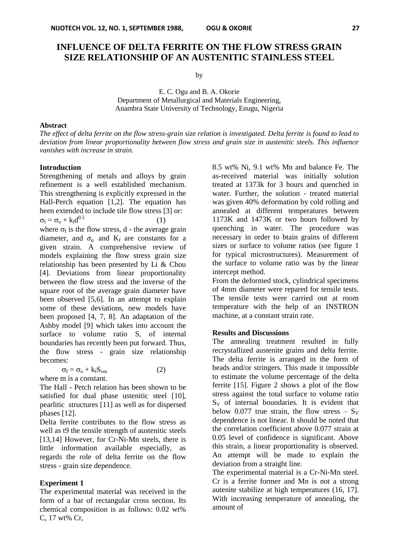# **INFLUENCE OF DELTA FERRITE ON THE FLOW STRESS GRAIN SIZE RELATIONSHIP OF AN AUSTENITIC STAINLESS STEEL**

by

E. C. Ogu and B. A. Okorie Department of Metallurgical and Materials Engineering, Anambra State University of Technology, Enugu, Nigeria

## **Abstract**

*The effect of delta ferrite on the flow stress-grain size relation is investigated. Delta ferrite is found to lead to deviation from linear proportionality between flow stress and grain size in austenitic steels. This influence vanishes with increase in strain.* 

## **Introduction**

Strengthening of metals and alloys by grain refinement is a well established mechanism. This strengthening is explicitly expressed in the Hall-Perch equation [1,2]. The equation has been extended to include tile flow stress [3] or:  $\sigma_f = \sigma_o + k_f d^{0.5}$  $0.5$  (1) where  $\sigma_f$  is the flow stress, d - the average grain diameter, and  $\sigma_0$  and K<sub>f</sub> are constants for a given strain. A comprehensive review of models explaining the flow stress grain size relationship has been presented by Li & Chou [4]. Deviations from linear proportionality between the flow stress and the inverse of the square root of the average grain diameter have been observed [5,6]. In an attempt to explain some of these deviations, new models have been proposed [4, 7, 8]. An adaptation of the Ashby model [9] which takes into account the surface to volume ratio S, of internal boundaries has recently been put forward. Thus, the flow stress - grain size relationship becomes:

$$
\sigma_{\rm f} = \sigma_{\rm o} + k_{\rm f} S_{\rm v m} \tag{2}
$$
 where m is a constant.

The Hall - Petch relation has been shown to be satisfied for dual phase ustenitic steel [10], pearlitic structures [11] as well as for dispersed phases [12].

Delta ferrite contributes to the flow stress as well as t9 the tensile strength of austenitic steels [13,14] However, for Cr-Ni-Mn steels, there is little information available especially, as regards the role of delta ferrite on the flow stress - grain size dependence.

## **Experiment 1**

The experimental material was received in the form of a bar of rectangular cross section. Its chemical composition is as follows: 0.02 wt% C, 17 wt% Cr,

8.5 wt% Ni, 9.1 wt% Mn and balance Fe. The as-received material was initially solution treated at 1373k for 3 hours and quenched in water. Further, the solution - treated material was given 40% deformation by cold rolling and annealed at different temperatures between 1173K and 1473K or two hours followed by quenching in water. The procedure was necessary in order to btain grains of different sizes or surface to volume ratios (see figure 1 for typical microstructures). Measurement of the surface to volume ratio was by the linear intercept method.

From the deformed stock, cylindrical specimens of 4mm diameter were repared for tensile tests. The tensile tests were carried out at room temperature with the help of an INSTRON machine, at a constant strain rate.

#### **Results and Discussions**

The annealing treatment resulted in fully recrystallized austenite grains and delta ferrite. The delta ferrite is arranged in the form of beads and/or stringers. This made it impossible to estimate the volume percentage of the delta ferrite [15]. Figure 2 shows a plot of the flow stress against the total surface to volume ratio  $S_V$  of internal boundaries. It is evident that below 0.077 true strain, the flow stress  $- S_V$ dependence is not linear. It should be noted that the correlation coefficient above 0.077 strain at 0.05 level of confidence is significant. Above this strain, a linear proportionality is observed. An attempt will be made to explain the deviation from a straight line.

The experimental material is a Cr-Ni-Mn steel. Cr is a ferrite former and Mn is not a strong autenite stabilize at high temperatures (16, 17]. With increasing temperature of annealing, the amount of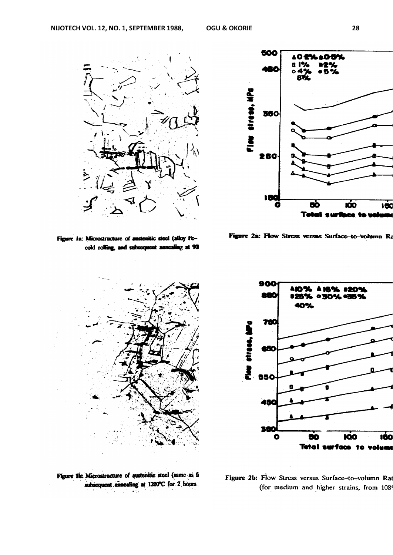

Figure 1a: Microstructure of austenitic steel (alloy Fecold rolling, and subsequent annealing at 90





Figure 2a: Flow Stress versus Surface-to-volumn Ra



Figure 1b: Microstructure of austenitic steel (same as fa subsequent annealing at 1200°C for 2 hours.

Figure 2b: Flow Stress versus Surface-to-volumn Ra (for medium and higher strains, from 108